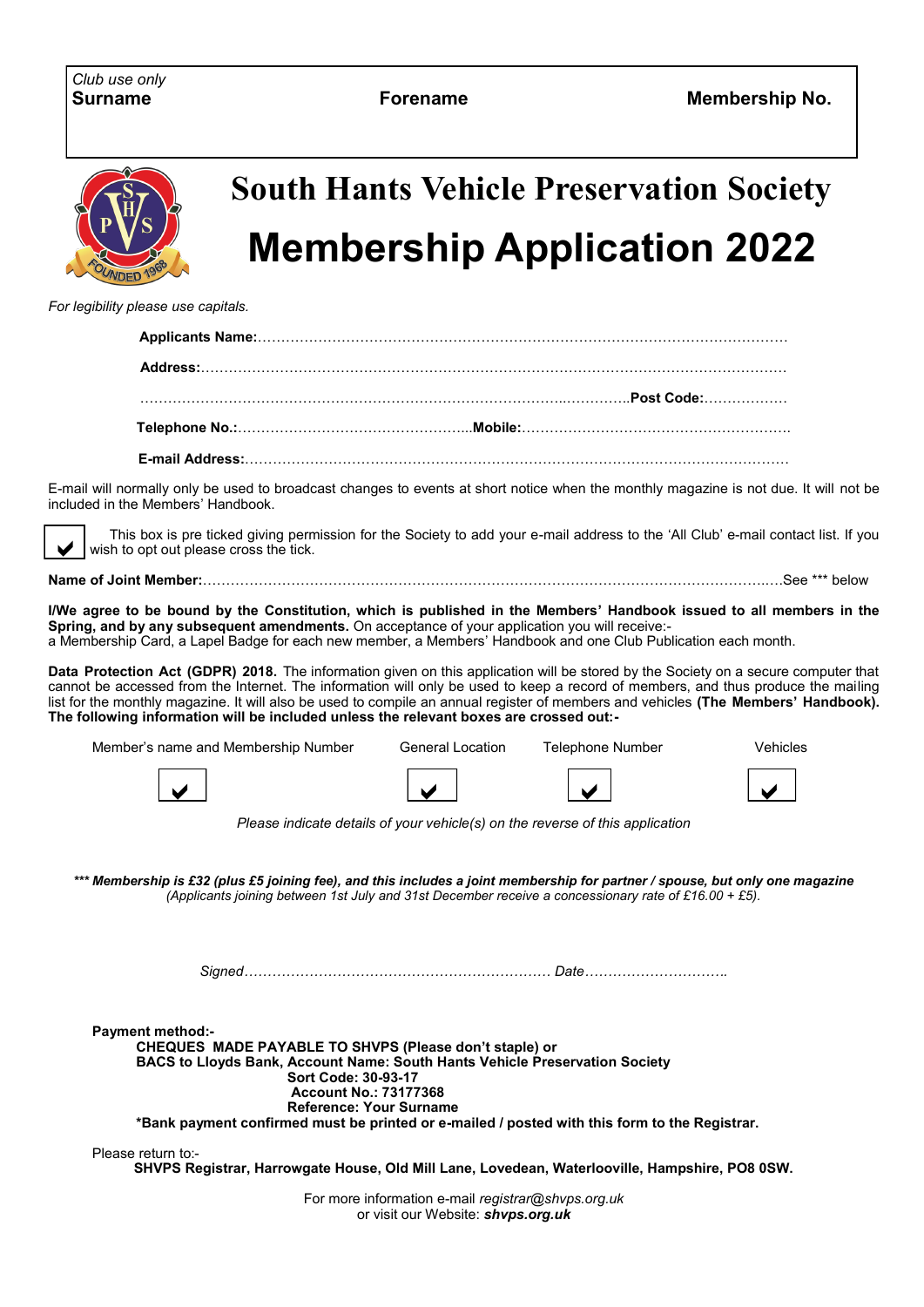

## **South Hants Vehicle Preservation Society Membership Application 2022**

*For legibility please use capitals.*

| Telephone No.:………………………………………………Mobile:………………………………………………………… |  |
|---------------------------------------------------------------|--|
|                                                               |  |

E-mail will normally only be used to broadcast changes to events at short notice when the monthly magazine is not due. It will not be included in the Members' Handbook.

 This box is pre ticked giving permission for the Society to add your e-mail address to the 'All Club' e-mail contact list. If you wish to opt out please cross the tick.  $\vee$ 

**Name of Joint Member:**………………………………………………………………………………………………………….….See \*\*\* below

**I/We agree to be bound by the Constitution, which is published in the Members' Handbook issued to all members in the Spring, and by any subsequent amendments.** On acceptance of your application you will receive: a Membership Card, a Lapel Badge for each new member, a Members' Handbook and one Club Publication each month.

**Data Protection Act (GDPR) 2018.** The information given on this application will be stored by the Society on a secure computer that cannot be accessed from the Internet. The information will only be used to keep a record of members, and thus produce the mailing list for the monthly magazine. It will also be used to compile an annual register of members and vehicles **(The Members' Handbook). The following information will be included unless the relevant boxes are crossed out:-**

| Member's name and Membership Number | General Location | Telephone Number | √ehicles |
|-------------------------------------|------------------|------------------|----------|
|                                     |                  |                  |          |

*Please indicate details of your vehicle(s) on the reverse of this application*

*\*\*\* Membership is £32 (plus £5 joining fee), and this includes a joint membership for partner / spouse, but only one magazine (Applicants joining between 1st July and 31st December receive a concessionary rate of £16.00 + £5).*

*Signed………………………………………………………… Date………………………….* 

**Payment method:- CHEQUES MADE PAYABLE TO SHVPS (Please don't staple) or BACS to Lloyds Bank, Account Name: South Hants Vehicle Preservation Society Sort Code: 30-93-17 Account No.: 73177368 Reference: Your Surname \*Bank payment confirmed must be printed or e-mailed / posted with this form to the Registrar.**

Please return to:-

**SHVPS Registrar, Harrowgate House, Old Mill Lane, Lovedean, Waterlooville, Hampshire, PO8 0SW.**

For more information e-mail *registrar@shvps.org.uk* or visit our Website: *shvps.org.uk*